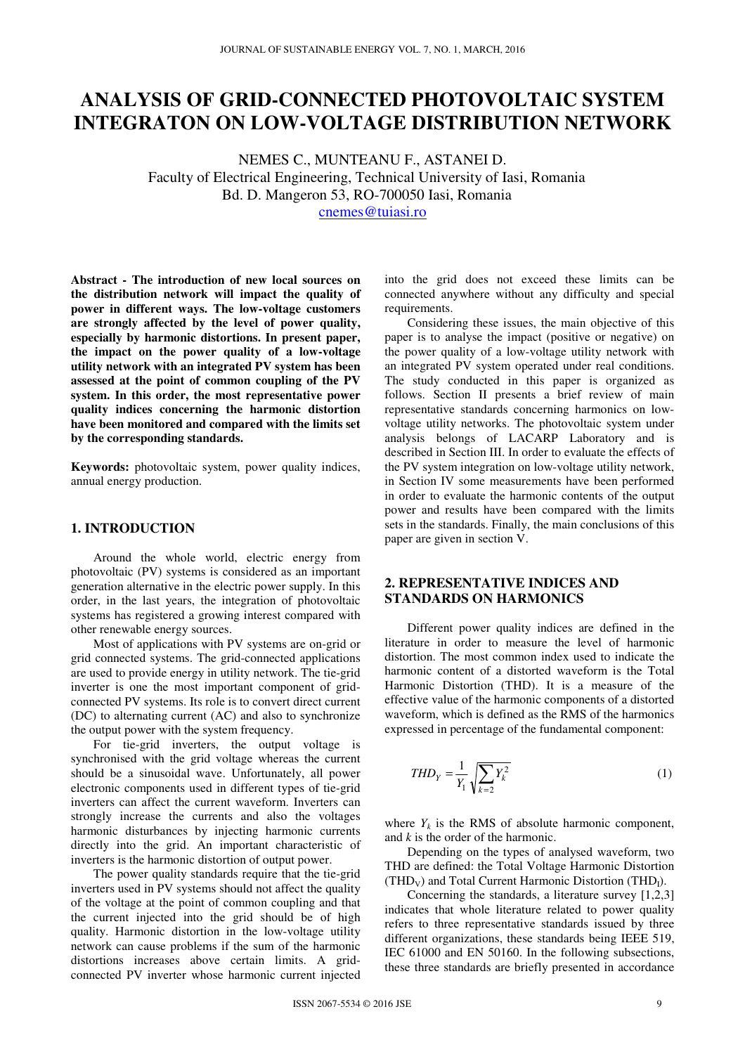# **ANALYSIS OF GRID-CONNECTED PHOTOVOLTAIC SYSTEM INTEGRATON ON LOW-VOLTAGE DISTRIBUTION NETWORK**

NEMES C., MUNTEANU F., ASTANEI D. Faculty of Electrical Engineering, Technical University of Iasi, Romania Bd. D. Mangeron 53, RO-700050 Iasi, Romania cnemes@tuiasi.ro

**Abstract - The introduction of new local sources on the distribution network will impact the quality of power in different ways. The low-voltage customers are strongly affected by the level of power quality, especially by harmonic distortions. In present paper, the impact on the power quality of a low-voltage utility network with an integrated PV system has been assessed at the point of common coupling of the PV system. In this order, the most representative power quality indices concerning the harmonic distortion have been monitored and compared with the limits set by the corresponding standards.** 

**Keywords:** photovoltaic system, power quality indices, annual energy production.

## **1. INTRODUCTION**

Around the whole world, electric energy from photovoltaic (PV) systems is considered as an important generation alternative in the electric power supply. In this order, in the last years, the integration of photovoltaic systems has registered a growing interest compared with other renewable energy sources.

Most of applications with PV systems are on-grid or grid connected systems. The grid-connected applications are used to provide energy in utility network. The tie-grid inverter is one the most important component of gridconnected PV systems. Its role is to convert direct current (DC) to alternating current (AC) and also to synchronize the output power with the system frequency.

For tie-grid inverters, the output voltage is synchronised with the grid voltage whereas the current should be a sinusoidal wave. Unfortunately, all power electronic components used in different types of tie-grid inverters can affect the current waveform. Inverters can strongly increase the currents and also the voltages harmonic disturbances by injecting harmonic currents directly into the grid. An important characteristic of inverters is the harmonic distortion of output power.

The power quality standards require that the tie-grid inverters used in PV systems should not affect the quality of the voltage at the point of common coupling and that the current injected into the grid should be of high quality. Harmonic distortion in the low-voltage utility network can cause problems if the sum of the harmonic distortions increases above certain limits. A gridconnected PV inverter whose harmonic current injected

into the grid does not exceed these limits can be connected anywhere without any difficulty and special requirements.

Considering these issues, the main objective of this paper is to analyse the impact (positive or negative) on the power quality of a low-voltage utility network with an integrated PV system operated under real conditions. The study conducted in this paper is organized as follows. Section II presents a brief review of main representative standards concerning harmonics on lowvoltage utility networks. The photovoltaic system under analysis belongs of LACARP Laboratory and is described in Section III. In order to evaluate the effects of the PV system integration on low-voltage utility network, in Section IV some measurements have been performed in order to evaluate the harmonic contents of the output power and results have been compared with the limits sets in the standards. Finally, the main conclusions of this paper are given in section V.

## **2. REPRESENTATIVE INDICES AND STANDARDS ON HARMONICS**

Different power quality indices are defined in the literature in order to measure the level of harmonic distortion. The most common index used to indicate the harmonic content of a distorted waveform is the Total Harmonic Distortion (THD). It is a measure of the effective value of the harmonic components of a distorted waveform, which is defined as the RMS of the harmonics expressed in percentage of the fundamental component:

$$
THD_{Y} = \frac{1}{Y_{1}} \sqrt{\sum_{k=2} Y_{k}^{2}}
$$
 (1)

where  $Y_k$  is the RMS of absolute harmonic component, and *k* is the order of the harmonic.

Depending on the types of analysed waveform, two THD are defined: the Total Voltage Harmonic Distortion  $(THD<sub>V</sub>)$  and Total Current Harmonic Distortion  $(THD<sub>I</sub>)$ .

Concerning the standards, a literature survey [1,2,3] indicates that whole literature related to power quality refers to three representative standards issued by three different organizations, these standards being IEEE 519, IEC 61000 and EN 50160. In the following subsections, these three standards are briefly presented in accordance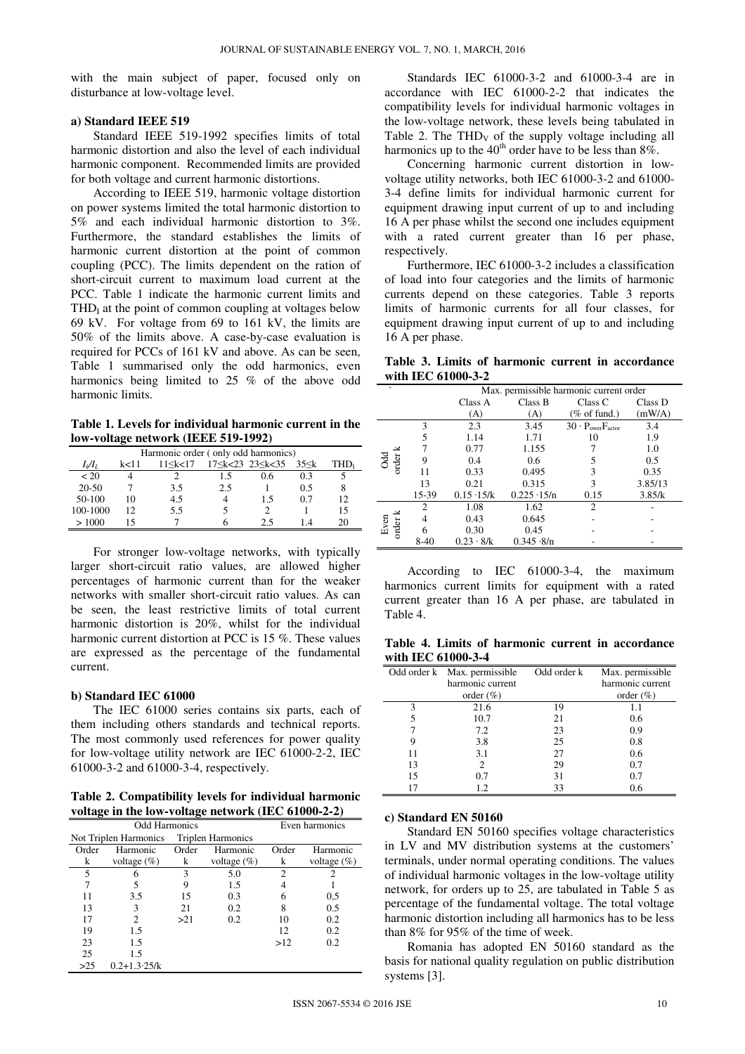with the main subject of paper, focused only on disturbance at low-voltage level.

#### **a) Standard IEEE 519**

Standard IEEE 519-1992 specifies limits of total harmonic distortion and also the level of each individual harmonic component. Recommended limits are provided for both voltage and current harmonic distortions.

According to IEEE 519, harmonic voltage distortion on power systems limited the total harmonic distortion to 5% and each individual harmonic distortion to 3%. Furthermore, the standard establishes the limits of harmonic current distortion at the point of common coupling (PCC). The limits dependent on the ration of short-circuit current to maximum load current at the PCC. Table 1 indicate the harmonic current limits and  $THD<sub>I</sub>$  at the point of common coupling at voltages below 69 kV. For voltage from 69 to 161 kV, the limits are 50% of the limits above. A case-by-case evaluation is required for PCCs of 161 kV and above. As can be seen, Table 1 summarised only the odd harmonics, even harmonics being limited to 25 % of the above odd harmonic limits.

**Table 1. Levels for individual harmonic current in the low-voltage network (IEEE 519-1992)** 

| Harmonic order (only odd harmonics) |      |                 |                 |     |            |                  |
|-------------------------------------|------|-----------------|-----------------|-----|------------|------------------|
| $I_i/I_L$                           | k<11 | $11 \le k < 17$ | 17≤k<23 23≤k<35 |     | $35 \le k$ | THD <sub>t</sub> |
| < 20                                |      |                 | 15              | 0.6 | 0.3        |                  |
| $20 - 50$                           |      | 3.5             | 2.5             |     | 0.5        |                  |
| 50-100                              | 10   | 4.5             |                 | 1.5 | 0.7        | 12               |
| 100-1000                            | 12   | 5.5             |                 |     |            | 15               |
| >1000                               |      |                 |                 | 25  |            |                  |

For stronger low-voltage networks, with typically larger short-circuit ratio values, are allowed higher percentages of harmonic current than for the weaker networks with smaller short-circuit ratio values. As can be seen, the least restrictive limits of total current harmonic distortion is 20%, whilst for the individual harmonic current distortion at PCC is 15 %. These values are expressed as the percentage of the fundamental current.

### **b) Standard IEC 61000**

The IEC 61000 series contains six parts, each of them including others standards and technical reports. The most commonly used references for power quality for low-voltage utility network are IEC 61000-2-2, IEC 61000-3-2 and 61000-3-4, respectively.

**Table 2. Compatibility levels for individual harmonic voltage in the low-voltage network (IEC 61000-2-2)** 

| ັ<br>ີ                |                   |                          |                |                |                |  |
|-----------------------|-------------------|--------------------------|----------------|----------------|----------------|--|
| <b>Odd Harmonics</b>  |                   |                          |                | Even harmonics |                |  |
| Not Triplen Harmonics |                   | <b>Triplen Harmonics</b> |                |                |                |  |
| Order                 | Harmonic          | Order                    | Harmonic       | Order          | Harmonic       |  |
| k                     | voltage $(\%)$    | k                        | voltage $(\%)$ | k              | voltage $(\%)$ |  |
| 5                     | 6                 | 3                        | 5.0            | $\overline{c}$ |                |  |
| 7                     | 5                 | 9                        | 1.5            | 4              |                |  |
| 11                    | 3.5               | 15                       | 0.3            | 6              | 0,5            |  |
| 13                    | 3                 | 21                       | 0.2            | 8              | 0.5            |  |
| 17                    | 2                 | >21                      | 0.2            | 10             | 0.2            |  |
| 19                    | 1.5               |                          |                | 12             | 0.2            |  |
| 23                    | 1.5               |                          |                | >12            | 0.2            |  |
| 25                    | 1.5               |                          |                |                |                |  |
| >25                   | $0.2 + 1.3.25$ /k |                          |                |                |                |  |

Standards IEC 61000-3-2 and 61000-3-4 are in accordance with IEC 61000-2-2 that indicates the compatibility levels for individual harmonic voltages in the low-voltage network, these levels being tabulated in Table 2. The  $THD_V$  of the supply voltage including all harmonics up to the  $40<sup>th</sup>$  order have to be less than  $8\%$ .

Concerning harmonic current distortion in lowvoltage utility networks, both IEC 61000-3-2 and 61000- 3-4 define limits for individual harmonic current for equipment drawing input current of up to and including 16 A per phase whilst the second one includes equipment with a rated current greater than 16 per phase, respectively.

Furthermore, IEC 61000-3-2 includes a classification of load into four categories and the limits of harmonic currents depend on these categories. Table 3 reports limits of harmonic currents for all four classes, for equipment drawing input current of up to and including 16 A per phase.

**Table 3. Limits of harmonic current in accordance with IEC 61000-3-2** 

| $\overline{\phantom{0}}$ |                             | Max. permissible harmonic current order |                    |                              |         |
|--------------------------|-----------------------------|-----------------------------------------|--------------------|------------------------------|---------|
|                          |                             | Class A                                 | Class B            | Class <sub>C</sub>           | Class D |
|                          |                             | (A)                                     | (A)                | $(\% \text{ of fund.})$      | (mW/A)  |
|                          | 3                           | 2.3                                     | 3.45               | $30 \cdot P_{over}F_{actor}$ | 3.4     |
| Odd<br>order k           | 5                           | 1.14                                    | 1.71               | 10                           | 1.9     |
|                          |                             | 0.77                                    | 1.155              |                              | 1.0     |
|                          | 9                           | 0.4                                     | 0.6                |                              | 0.5     |
|                          | 11                          | 0.33                                    | 0.495              | 3                            | 0.35    |
|                          | 13                          | 0.21                                    | 0.315              | 3                            | 3.85/13 |
|                          | 15-39                       | $0.15 \cdot 15/k$                       | $0.225 \cdot 15/n$ | 0.15                         | 3.85/k  |
| Even<br>order            | $\mathcal{D}_{\mathcal{L}}$ | 1.08                                    | 1.62               | 2                            |         |
|                          |                             | 0.43                                    | 0.645              |                              |         |
|                          |                             | 0.30                                    | 0.45               |                              |         |
|                          | $8-40$                      | $0.23 \cdot 8/k$                        | $0.345 \cdot 8/n$  |                              |         |

According to IEC 61000-3-4, the maximum harmonics current limits for equipment with a rated current greater than 16 A per phase, are tabulated in Table 4.

**Table 4. Limits of harmonic current in accordance with IEC 61000-3-4** 

|    | Odd order k Max. permissible | Odd order k | Max. permissible |  |
|----|------------------------------|-------------|------------------|--|
|    | harmonic current             |             | harmonic current |  |
|    | order $(\% )$                |             | order $(\% )$    |  |
| 3  | 21.6                         | 19          | 1.1              |  |
|    | 10.7                         | 21          | 0.6              |  |
|    | 7.2                          | 23          | 0.9              |  |
|    | 3.8                          | 25          | 0.8              |  |
| 11 | 3.1                          | 27          | 0.6              |  |
| 13 | 2                            | 29          | 0.7              |  |
| 15 | 0.7                          | 31          | 0.7              |  |
|    | 1.2                          | 33          | 0.6              |  |

#### **c) Standard EN 50160**

Standard EN 50160 specifies voltage characteristics in LV and MV distribution systems at the customers' terminals, under normal operating conditions. The values of individual harmonic voltages in the low-voltage utility network, for orders up to 25, are tabulated in Table 5 as percentage of the fundamental voltage. The total voltage harmonic distortion including all harmonics has to be less than 8% for 95% of the time of week.

Romania has adopted EN 50160 standard as the basis for national quality regulation on public distribution systems [3].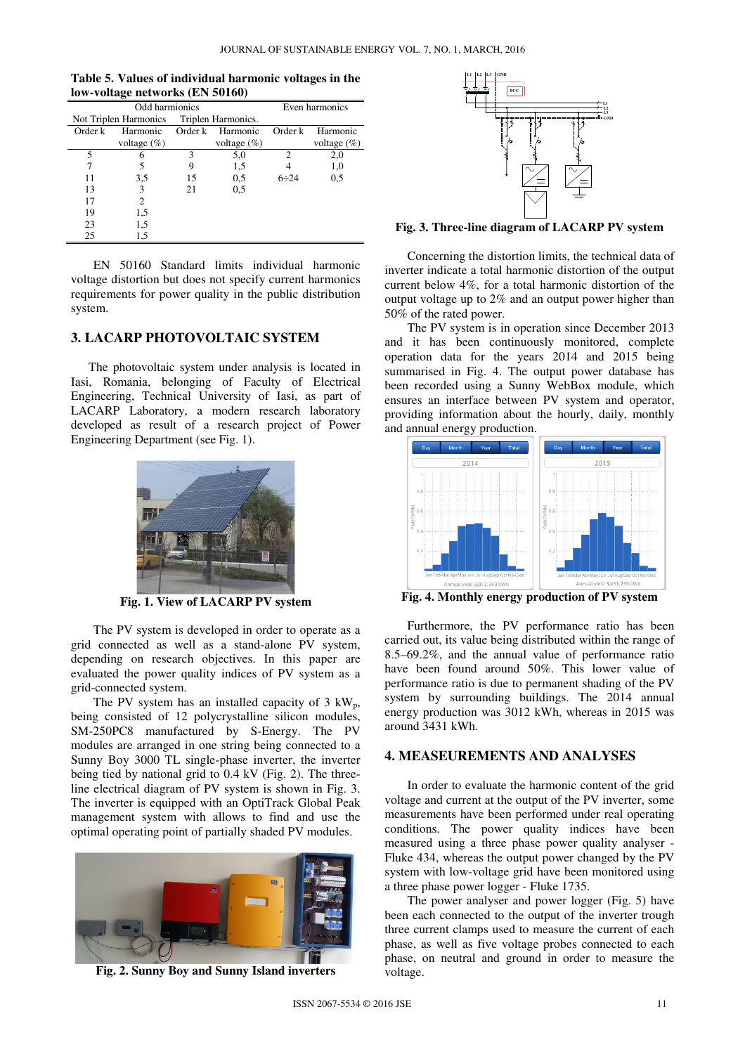| Table 5. Values of individual harmonic voltages in the |  |
|--------------------------------------------------------|--|
| low-voltage networks (EN 50160)                        |  |

| Odd harmionics        |                |                    |                | Even harmonics              |                |
|-----------------------|----------------|--------------------|----------------|-----------------------------|----------------|
| Not Triplen Harmonics |                | Triplen Harmonics. |                |                             |                |
| Order k               | Harmonic       | Order k            | Harmonic       | Order k                     | Harmonic       |
|                       | voltage $(\%)$ |                    | voltage $(\%)$ |                             | voltage $(\%)$ |
| 5                     |                | 3                  | 5,0            | $\mathcal{D}_{\mathcal{L}}$ | 2,0            |
|                       |                |                    | 1,5            |                             | 1,0            |
| 11                    | 3,5            | 15                 | 0,5            | $6 \div 24$                 | 0,5            |
| 13                    | 3              | 21                 | 0,5            |                             |                |
| 17                    | 2              |                    |                |                             |                |
| 19                    | 1,5            |                    |                |                             |                |
| 23                    | 1,5            |                    |                |                             |                |
| 25                    | 1,5            |                    |                |                             |                |

EN 50160 Standard limits individual harmonic voltage distortion but does not specify current harmonics requirements for power quality in the public distribution system.

# **3. LACARP PHOTOVOLTAIC SYSTEM**

The photovoltaic system under analysis is located in Iasi, Romania, belonging of Faculty of Electrical Engineering, Technical University of Iasi, as part of LACARP Laboratory, a modern research laboratory developed as result of a research project of Power Engineering Department (see Fig. 1).



**Fig. 1. View of LACARP PV system** 

The PV system is developed in order to operate as a grid connected as well as a stand-alone PV system, depending on research objectives. In this paper are evaluated the power quality indices of PV system as a grid-connected system.

The PV system has an installed capacity of  $3 \text{ kW}_{p}$ , being consisted of 12 polycrystalline silicon modules, SM-250PC8 manufactured by S-Energy. The PV modules are arranged in one string being connected to a Sunny Boy 3000 TL single-phase inverter, the inverter being tied by national grid to 0.4 kV (Fig. 2). The threeline electrical diagram of PV system is shown in Fig. 3. The inverter is equipped with an OptiTrack Global Peak management system with allows to find and use the optimal operating point of partially shaded PV modules.



**Fig. 2. Sunny Boy and Sunny Island inverters** 



**Fig. 3. Three-line diagram of LACARP PV system** 

Concerning the distortion limits, the technical data of inverter indicate a total harmonic distortion of the output current below 4%, for a total harmonic distortion of the output voltage up to 2% and an output power higher than 50% of the rated power.

The PV system is in operation since December 2013 and it has been continuously monitored, complete operation data for the years 2014 and 2015 being summarised in Fig. 4. The output power database has been recorded using a Sunny WebBox module, which ensures an interface between PV system and operator, providing information about the hourly, daily, monthly and annual energy production.



**Fig. 4. Monthly energy production of PV system** 

Furthermore, the PV performance ratio has been carried out, its value being distributed within the range of 8.5–69.2%, and the annual value of performance ratio have been found around 50%. This lower value of performance ratio is due to permanent shading of the PV system by surrounding buildings. The 2014 annual energy production was 3012 kWh, whereas in 2015 was around 3431 kWh.

### **4. MEASEUREMENTS AND ANALYSES**

In order to evaluate the harmonic content of the grid voltage and current at the output of the PV inverter, some measurements have been performed under real operating conditions. The power quality indices have been measured using a three phase power quality analyser - Fluke 434, whereas the output power changed by the PV system with low-voltage grid have been monitored using a three phase power logger - Fluke 1735.

The power analyser and power logger (Fig. 5) have been each connected to the output of the inverter trough three current clamps used to measure the current of each phase, as well as five voltage probes connected to each phase, on neutral and ground in order to measure the voltage.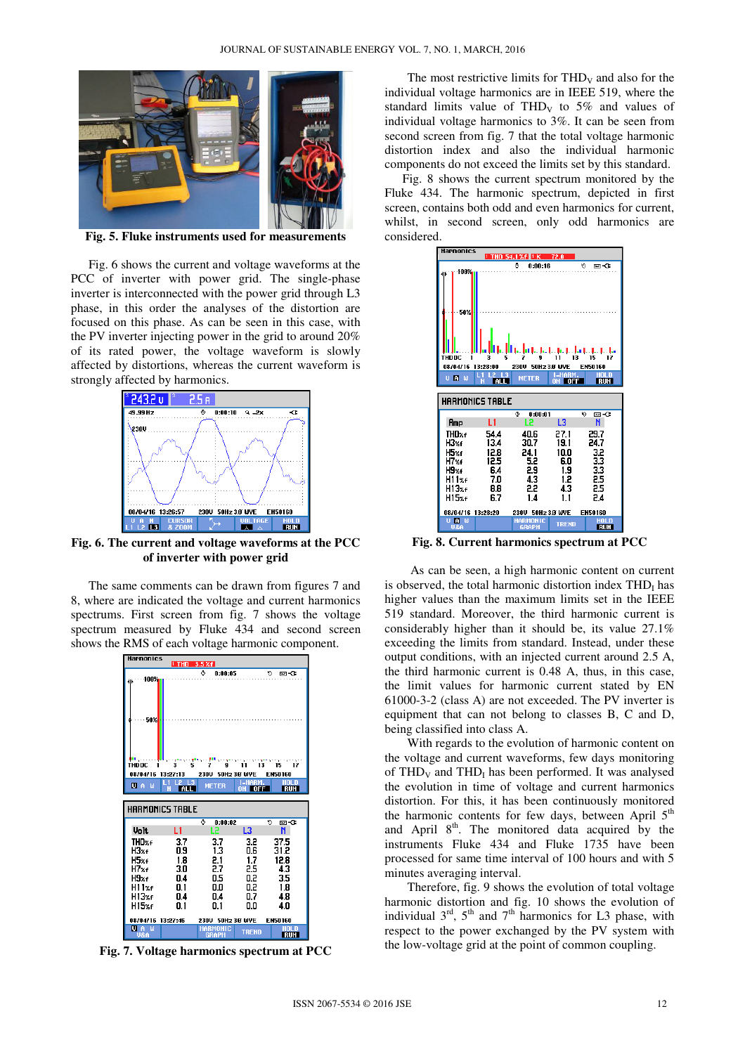

**Fig. 5. Fluke instruments used for measurements** 

Fig. 6 shows the current and voltage waveforms at the PCC of inverter with power grid. The single-phase inverter is interconnected with the power grid through L3 phase, in this order the analyses of the distortion are focused on this phase. As can be seen in this case, with the PV inverter injecting power in the grid to around 20% of its rated power, the voltage waveform is slowly affected by distortions, whereas the current waveform is strongly affected by harmonics.



**Fig. 6. The current and voltage waveforms at the PCC of inverter with power grid** 

The same comments can be drawn from figures 7 and 8, where are indicated the voltage and current harmonics spectrums. First screen from fig. 7 shows the voltage spectrum measured by Fluke 434 and second screen shows the RMS of each voltage harmonic component.



**Fig. 7. Voltage harmonics spectrum at PCC** 

The most restrictive limits for  $THD<sub>V</sub>$  and also for the individual voltage harmonics are in IEEE 519, where the standard limits value of THD<sub>V</sub> to  $5\%$  and values of individual voltage harmonics to 3%. It can be seen from second screen from fig. 7 that the total voltage harmonic distortion index and also the individual harmonic components do not exceed the limits set by this standard.

Fig. 8 shows the current spectrum monitored by the Fluke 434. The harmonic spectrum, depicted in first screen, contains both odd and even harmonics for current, whilst, in second screen, only odd harmonics are considered.



**Fig. 8. Current harmonics spectrum at PCC** 

 As can be seen, a high harmonic content on current is observed, the total harmonic distortion index  $THD<sub>I</sub>$  has higher values than the maximum limits set in the IEEE 519 standard. Moreover, the third harmonic current is considerably higher than it should be, its value 27.1% exceeding the limits from standard. Instead, under these output conditions, with an injected current around 2.5 A, the third harmonic current is 0.48 A, thus, in this case, the limit values for harmonic current stated by EN 61000-3-2 (class A) are not exceeded. The PV inverter is equipment that can not belong to classes B, C and D, being classified into class A.

With regards to the evolution of harmonic content on the voltage and current waveforms, few days monitoring of  $THD<sub>V</sub>$  and  $THD<sub>I</sub>$  has been performed. It was analysed the evolution in time of voltage and current harmonics distortion. For this, it has been continuously monitored the harmonic contents for few days, between April  $5<sup>th</sup>$ and April 8<sup>th</sup>. The monitored data acquired by the instruments Fluke 434 and Fluke 1735 have been processed for same time interval of 100 hours and with 5 minutes averaging interval.

Therefore, fig. 9 shows the evolution of total voltage harmonic distortion and fig. 10 shows the evolution of individual  $3<sup>rd</sup>$ ,  $5<sup>th</sup>$  and  $7<sup>th</sup>$  harmonics for L3 phase, with respect to the power exchanged by the PV system with the low-voltage grid at the point of common coupling.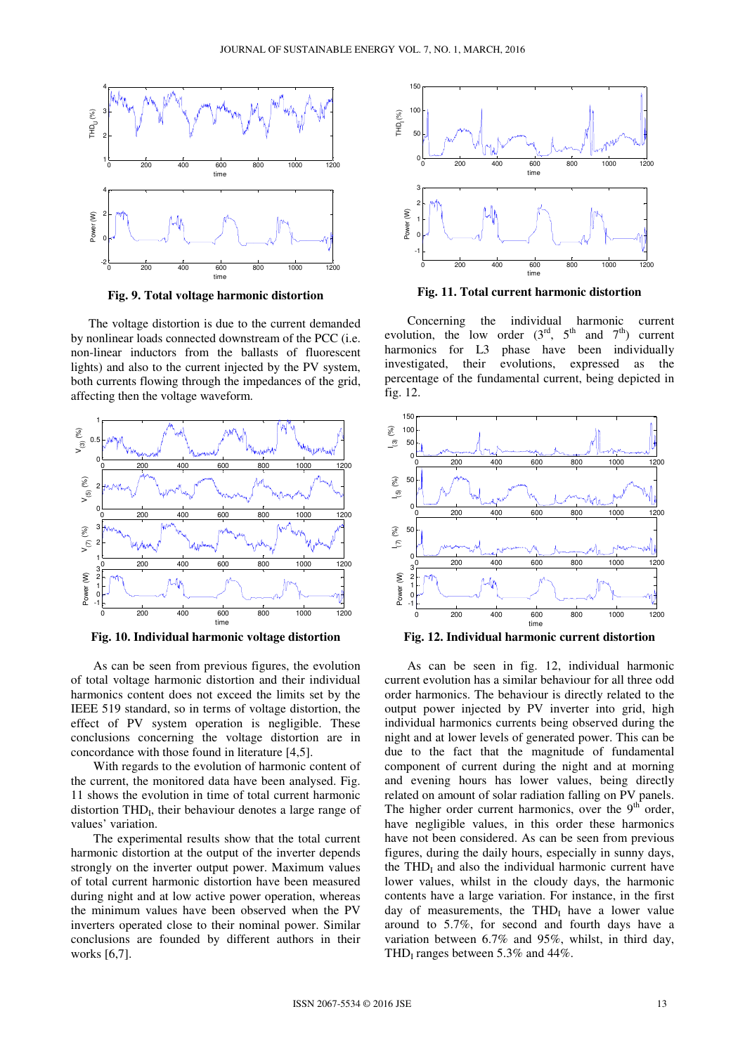

**Fig. 9. Total voltage harmonic distortion** 

The voltage distortion is due to the current demanded by nonlinear loads connected downstream of the PCC (i.e. non-linear inductors from the ballasts of fluorescent lights) and also to the current injected by the PV system, both currents flowing through the impedances of the grid, affecting then the voltage waveform.



**Fig. 10. Individual harmonic voltage distortion** 

As can be seen from previous figures, the evolution of total voltage harmonic distortion and their individual harmonics content does not exceed the limits set by the IEEE 519 standard, so in terms of voltage distortion, the effect of PV system operation is negligible. These conclusions concerning the voltage distortion are in concordance with those found in literature [4,5].

With regards to the evolution of harmonic content of the current, the monitored data have been analysed. Fig. 11 shows the evolution in time of total current harmonic distortion THD<sub>I</sub>, their behaviour denotes a large range of values' variation.

The experimental results show that the total current harmonic distortion at the output of the inverter depends strongly on the inverter output power. Maximum values of total current harmonic distortion have been measured during night and at low active power operation, whereas the minimum values have been observed when the PV inverters operated close to their nominal power. Similar conclusions are founded by different authors in their works [6,7].



**Fig. 11. Total current harmonic distortion** 

Concerning the individual harmonic current evolution, the low order  $(3<sup>rd</sup>, 5<sup>th</sup>$  and  $7<sup>th</sup>$ ) current harmonics for L3 phase have been individually investigated, their evolutions, expressed as the percentage of the fundamental current, being depicted in fig. 12.





As can be seen in fig. 12, individual harmonic current evolution has a similar behaviour for all three odd order harmonics. The behaviour is directly related to the output power injected by PV inverter into grid, high individual harmonics currents being observed during the night and at lower levels of generated power. This can be due to the fact that the magnitude of fundamental component of current during the night and at morning and evening hours has lower values, being directly related on amount of solar radiation falling on PV panels. The higher order current harmonics, over the  $9<sup>th</sup>$  order, have negligible values, in this order these harmonics have not been considered. As can be seen from previous figures, during the daily hours, especially in sunny days, the  $THD<sub>I</sub>$  and also the individual harmonic current have lower values, whilst in the cloudy days, the harmonic contents have a large variation. For instance, in the first day of measurements, the  $THD<sub>I</sub>$  have a lower value around to 5.7%, for second and fourth days have a variation between 6.7% and 95%, whilst, in third day, THD<sub>I</sub> ranges between 5.3% and 44%.